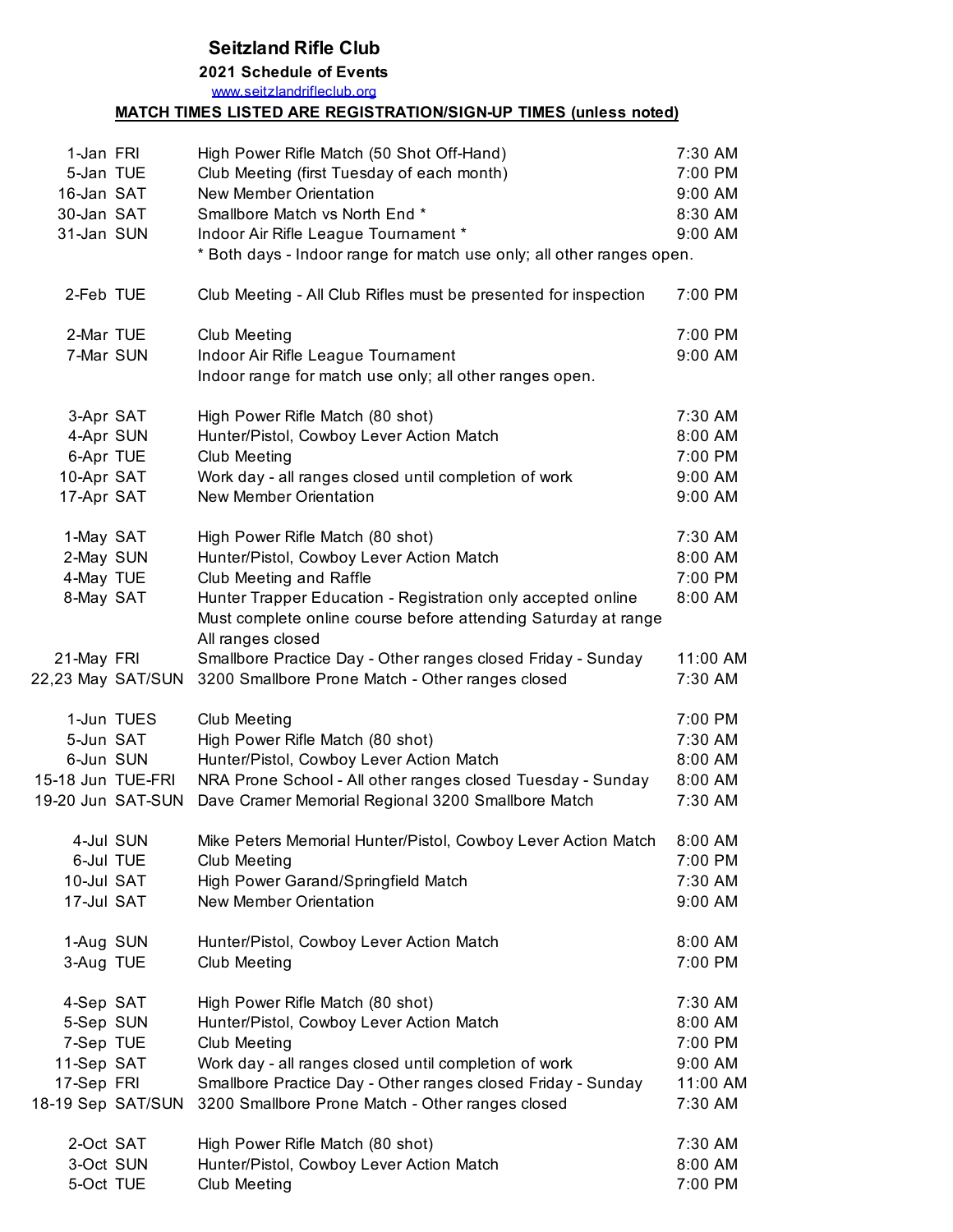## **Seitzland Rifle Club**

## **2021 Schedule of Events**

www.seitzlandrifleclub.org

## **MATCH TIMES LISTED ARE REGISTRATION/SIGN-UP TIMES (unless noted)**

| 1-Jan FRI         | High Power Rifle Match (50 Shot Off-Hand)                                           | 7:30 AM  |
|-------------------|-------------------------------------------------------------------------------------|----------|
| 5-Jan TUE         | Club Meeting (first Tuesday of each month)                                          | 7:00 PM  |
| 16-Jan SAT        | <b>New Member Orientation</b>                                                       | 9:00 AM  |
| 30-Jan SAT        | Smallbore Match vs North End *                                                      | 8:30 AM  |
| 31-Jan SUN        | Indoor Air Rifle League Tournament *                                                | 9:00 AM  |
|                   | * Both days - Indoor range for match use only; all other ranges open.               |          |
| 2-Feb TUE         | Club Meeting - All Club Rifles must be presented for inspection                     | 7:00 PM  |
| 2-Mar TUE         | <b>Club Meeting</b>                                                                 | 7:00 PM  |
| 7-Mar SUN         | Indoor Air Rifle League Tournament                                                  | 9:00 AM  |
|                   | Indoor range for match use only; all other ranges open.                             |          |
| 3-Apr SAT         | High Power Rifle Match (80 shot)                                                    | 7:30 AM  |
| 4-Apr SUN         | Hunter/Pistol, Cowboy Lever Action Match                                            | 8:00 AM  |
| 6-Apr TUE         | <b>Club Meeting</b>                                                                 | 7:00 PM  |
| 10-Apr SAT        | Work day - all ranges closed until completion of work                               | 9:00 AM  |
| 17-Apr SAT        | New Member Orientation                                                              | 9:00 AM  |
| 1-May SAT         | High Power Rifle Match (80 shot)                                                    | 7:30 AM  |
| 2-May SUN         | Hunter/Pistol, Cowboy Lever Action Match                                            | 8:00 AM  |
| 4-May TUE         | Club Meeting and Raffle                                                             | 7:00 PM  |
| 8-May SAT         | Hunter Trapper Education - Registration only accepted online                        | 8:00 AM  |
|                   | Must complete online course before attending Saturday at range<br>All ranges closed |          |
| 21-May FRI        | Smallbore Practice Day - Other ranges closed Friday - Sunday                        | 11:00 AM |
| 22,23 May SAT/SUN | 3200 Smallbore Prone Match - Other ranges closed                                    | 7:30 AM  |
| 1-Jun TUES        | <b>Club Meeting</b>                                                                 | 7:00 PM  |
| 5-Jun SAT         | High Power Rifle Match (80 shot)                                                    | 7:30 AM  |
| 6-Jun SUN         | Hunter/Pistol, Cowboy Lever Action Match                                            | 8:00 AM  |
| 15-18 Jun TUE-FRI | NRA Prone School - All other ranges closed Tuesday - Sunday                         | 8:00 AM  |
| 19-20 Jun SAT-SUN | Dave Cramer Memorial Regional 3200 Smallbore Match                                  | 7:30 AM  |
| 4-Jul SUN         | Mike Peters Memorial Hunter/Pistol, Cowboy Lever Action Match                       | 8:00 AM  |
| 6-Jul TUE         | <b>Club Meeting</b>                                                                 | 7:00 PM  |
| 10-Jul SAT        | High Power Garand/Springfield Match                                                 | 7:30 AM  |
| 17-Jul SAT        | New Member Orientation                                                              | 9:00 AM  |
| 1-Aug SUN         | Hunter/Pistol, Cowboy Lever Action Match                                            | 8:00 AM  |
| 3-Aug TUE         | <b>Club Meeting</b>                                                                 | 7:00 PM  |
| 4-Sep SAT         | High Power Rifle Match (80 shot)                                                    | 7:30 AM  |
| 5-Sep SUN         | Hunter/Pistol, Cowboy Lever Action Match                                            | 8:00 AM  |
| 7-Sep TUE         | <b>Club Meeting</b>                                                                 | 7:00 PM  |
| 11-Sep SAT        | Work day - all ranges closed until completion of work                               | 9:00 AM  |
| 17-Sep FRI        | Smallbore Practice Day - Other ranges closed Friday - Sunday                        | 11:00 AM |
| 18-19 Sep SAT/SUN | 3200 Smallbore Prone Match - Other ranges closed                                    | 7:30 AM  |
| 2-Oct SAT         | High Power Rifle Match (80 shot)                                                    | 7:30 AM  |
| 3-Oct SUN         | Hunter/Pistol, Cowboy Lever Action Match                                            | 8:00 AM  |
| 5-Oct TUE         | <b>Club Meeting</b>                                                                 | 7:00 PM  |